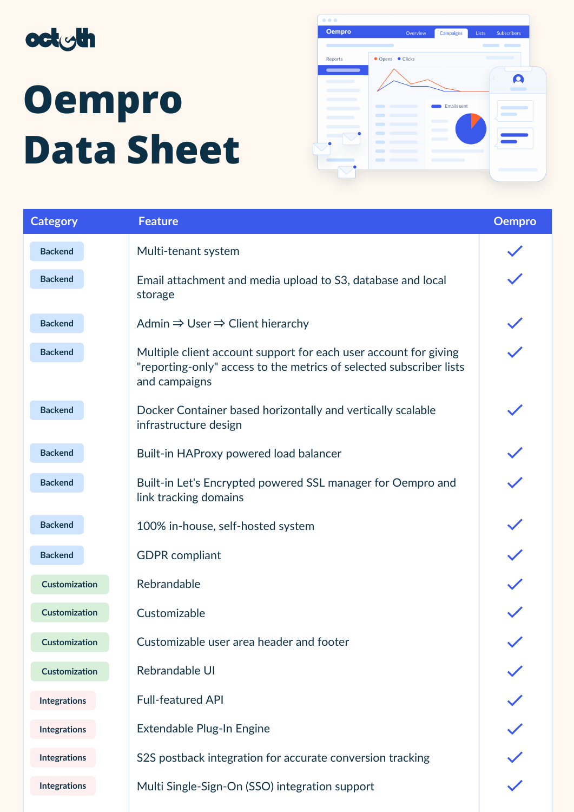

## **Oempro Data Sheet**



| <b>Category</b>      | <b>Feature</b>                                                                                                                                           | <b>Oempro</b> |
|----------------------|----------------------------------------------------------------------------------------------------------------------------------------------------------|---------------|
| <b>Backend</b>       | Multi-tenant system                                                                                                                                      |               |
| <b>Backend</b>       | Email attachment and media upload to S3, database and local<br>storage                                                                                   |               |
| <b>Backend</b>       | Admin $\Rightarrow$ User $\Rightarrow$ Client hierarchy                                                                                                  |               |
| <b>Backend</b>       | Multiple client account support for each user account for giving<br>"reporting-only" access to the metrics of selected subscriber lists<br>and campaigns |               |
| <b>Backend</b>       | Docker Container based horizontally and vertically scalable<br>infrastructure design                                                                     |               |
| <b>Backend</b>       | Built-in HAProxy powered load balancer                                                                                                                   |               |
| <b>Backend</b>       | Built-in Let's Encrypted powered SSL manager for Oempro and<br>link tracking domains                                                                     |               |
| <b>Backend</b>       | 100% in-house, self-hosted system                                                                                                                        |               |
| <b>Backend</b>       | <b>GDPR</b> compliant                                                                                                                                    |               |
| <b>Customization</b> | Rebrandable                                                                                                                                              |               |
| <b>Customization</b> | Customizable                                                                                                                                             |               |
| <b>Customization</b> | Customizable user area header and footer                                                                                                                 | $\checkmark$  |
| <b>Customization</b> | Rebrandable UI                                                                                                                                           |               |
| <b>Integrations</b>  | <b>Full-featured API</b>                                                                                                                                 |               |
| <b>Integrations</b>  | Extendable Plug-In Engine                                                                                                                                |               |
| <b>Integrations</b>  | S2S postback integration for accurate conversion tracking                                                                                                |               |
| <b>Integrations</b>  | Multi Single-Sign-On (SSO) integration support                                                                                                           |               |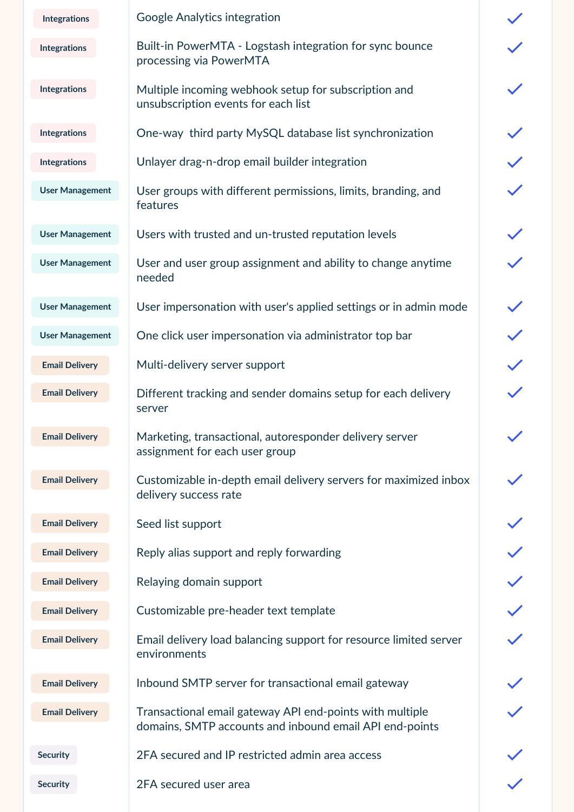| <b>Integrations</b>    | Google Analytics integration                                                                                        |  |
|------------------------|---------------------------------------------------------------------------------------------------------------------|--|
| <b>Integrations</b>    | Built-in PowerMTA - Logstash integration for sync bounce<br>processing via PowerMTA                                 |  |
| <b>Integrations</b>    | Multiple incoming webhook setup for subscription and<br>unsubscription events for each list                         |  |
| <b>Integrations</b>    | One-way third party MySQL database list synchronization                                                             |  |
| <b>Integrations</b>    | Unlayer drag-n-drop email builder integration                                                                       |  |
| <b>User Management</b> | User groups with different permissions, limits, branding, and<br>features                                           |  |
| <b>User Management</b> | Users with trusted and un-trusted reputation levels                                                                 |  |
| <b>User Management</b> | User and user group assignment and ability to change anytime<br>needed                                              |  |
| <b>User Management</b> | User impersonation with user's applied settings or in admin mode                                                    |  |
| <b>User Management</b> | One click user impersonation via administrator top bar                                                              |  |
| <b>Email Delivery</b>  | Multi-delivery server support                                                                                       |  |
| <b>Email Delivery</b>  | Different tracking and sender domains setup for each delivery<br>server                                             |  |
| <b>Email Delivery</b>  | Marketing, transactional, autoresponder delivery server<br>assignment for each user group                           |  |
| <b>Email Delivery</b>  | Customizable in-depth email delivery servers for maximized inbox<br>delivery success rate                           |  |
| <b>Email Delivery</b>  | Seed list support                                                                                                   |  |
| <b>Email Delivery</b>  | Reply alias support and reply forwarding                                                                            |  |
| <b>Email Delivery</b>  | Relaying domain support                                                                                             |  |
| <b>Email Delivery</b>  | Customizable pre-header text template                                                                               |  |
| <b>Email Delivery</b>  | Email delivery load balancing support for resource limited server<br>environments                                   |  |
| <b>Email Delivery</b>  | Inbound SMTP server for transactional email gateway                                                                 |  |
| <b>Email Delivery</b>  | Transactional email gateway API end-points with multiple<br>domains, SMTP accounts and inbound email API end-points |  |
| <b>Security</b>        | 2FA secured and IP restricted admin area access                                                                     |  |
| <b>Security</b>        | 2FA secured user area                                                                                               |  |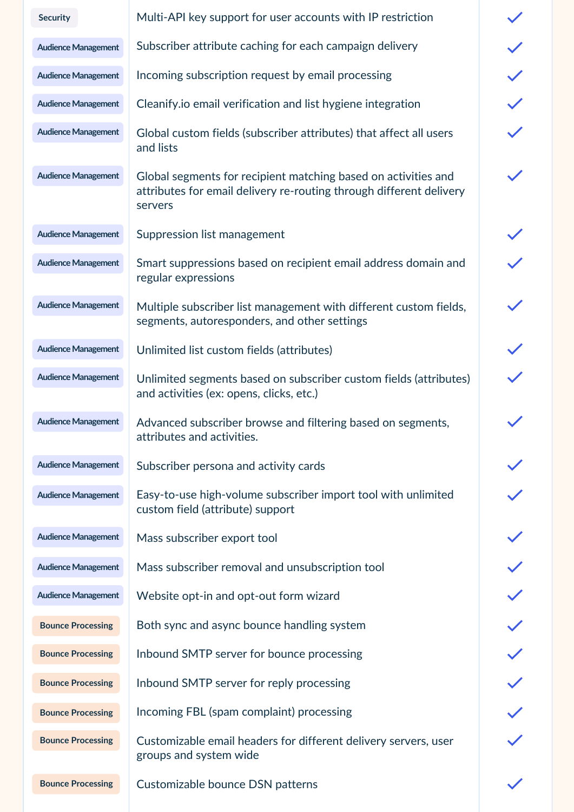| <b>Security</b>            | Multi-API key support for user accounts with IP restriction                                                                                      |
|----------------------------|--------------------------------------------------------------------------------------------------------------------------------------------------|
| <b>Audience Management</b> | Subscriber attribute caching for each campaign delivery                                                                                          |
| <b>Audience Management</b> | Incoming subscription request by email processing                                                                                                |
| <b>Audience Management</b> | Cleanify.io email verification and list hygiene integration                                                                                      |
| <b>Audience Management</b> | Global custom fields (subscriber attributes) that affect all users<br>and lists                                                                  |
| <b>Audience Management</b> | Global segments for recipient matching based on activities and<br>attributes for email delivery re-routing through different delivery<br>servers |
| <b>Audience Management</b> | Suppression list management                                                                                                                      |
| <b>Audience Management</b> | Smart suppressions based on recipient email address domain and<br>regular expressions                                                            |
| <b>Audience Management</b> | Multiple subscriber list management with different custom fields,<br>segments, autoresponders, and other settings                                |
| <b>Audience Management</b> | Unlimited list custom fields (attributes)                                                                                                        |
| <b>Audience Management</b> | Unlimited segments based on subscriber custom fields (attributes)<br>and activities (ex: opens, clicks, etc.)                                    |
| <b>Audience Management</b> | Advanced subscriber browse and filtering based on segments,<br>attributes and activities.                                                        |
| <b>Audience Management</b> | Subscriber persona and activity cards                                                                                                            |
| <b>Audience Management</b> | Easy-to-use high-volume subscriber import tool with unlimited<br>custom field (attribute) support                                                |
| <b>Audience Management</b> | Mass subscriber export tool                                                                                                                      |
| <b>Audience Management</b> | Mass subscriber removal and unsubscription tool                                                                                                  |
| <b>Audience Management</b> | Website opt-in and opt-out form wizard                                                                                                           |
| <b>Bounce Processing</b>   | Both sync and async bounce handling system                                                                                                       |
| <b>Bounce Processing</b>   | Inbound SMTP server for bounce processing                                                                                                        |
| <b>Bounce Processing</b>   | Inbound SMTP server for reply processing                                                                                                         |
| <b>Bounce Processing</b>   | Incoming FBL (spam complaint) processing                                                                                                         |
| <b>Bounce Processing</b>   | Customizable email headers for different delivery servers, user<br>groups and system wide                                                        |
| <b>Bounce Processing</b>   | Customizable bounce DSN patterns                                                                                                                 |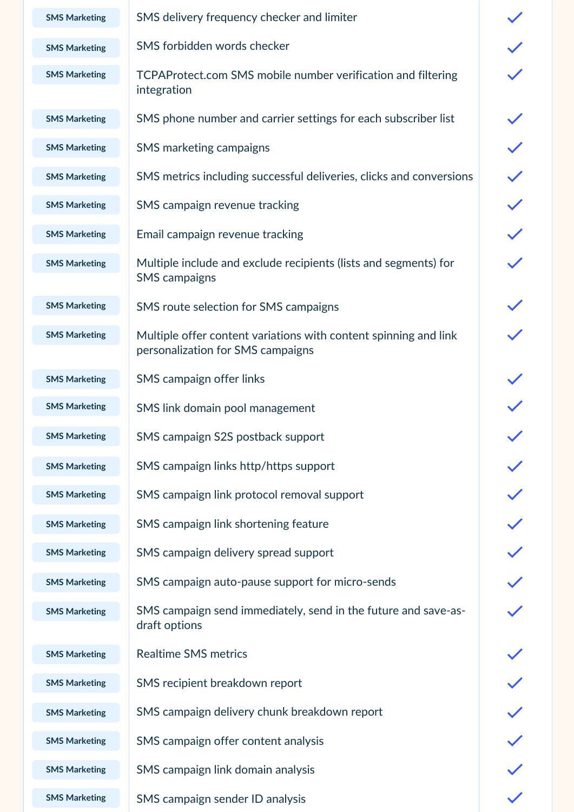| <b>SMS Marketing</b> | SMS delivery frequency checker and limiter                                                            |              |
|----------------------|-------------------------------------------------------------------------------------------------------|--------------|
| <b>SMS Marketing</b> | SMS forbidden words checker                                                                           |              |
| <b>SMS Marketing</b> | TCPAProtect.com SMS mobile number verification and filtering<br>integration                           |              |
| <b>SMS Marketing</b> | SMS phone number and carrier settings for each subscriber list                                        |              |
| <b>SMS Marketing</b> | <b>SMS</b> marketing campaigns                                                                        |              |
| <b>SMS Marketing</b> | SMS metrics including successful deliveries, clicks and conversions                                   |              |
| <b>SMS Marketing</b> | SMS campaign revenue tracking                                                                         |              |
| <b>SMS Marketing</b> | Email campaign revenue tracking                                                                       |              |
| <b>SMS Marketing</b> | Multiple include and exclude recipients (lists and segments) for<br><b>SMS</b> campaigns              |              |
| <b>SMS Marketing</b> | SMS route selection for SMS campaigns                                                                 |              |
| <b>SMS Marketing</b> | Multiple offer content variations with content spinning and link<br>personalization for SMS campaigns |              |
| <b>SMS Marketing</b> | <b>SMS</b> campaign offer links                                                                       |              |
| <b>SMS Marketing</b> | SMS link domain pool management                                                                       |              |
| <b>SMS Marketing</b> | SMS campaign S2S postback support                                                                     | $\checkmark$ |
| <b>SMS Marketing</b> | SMS campaign links http/https support                                                                 |              |
| <b>SMS Marketing</b> | SMS campaign link protocol removal support                                                            |              |
| <b>SMS Marketing</b> | SMS campaign link shortening feature                                                                  |              |
| <b>SMS Marketing</b> | SMS campaign delivery spread support                                                                  |              |
| <b>SMS Marketing</b> | SMS campaign auto-pause support for micro-sends                                                       |              |
| <b>SMS Marketing</b> | SMS campaign send immediately, send in the future and save-as-<br>draft options                       |              |
| <b>SMS Marketing</b> | <b>Realtime SMS metrics</b>                                                                           |              |
| <b>SMS Marketing</b> | SMS recipient breakdown report                                                                        |              |
| <b>SMS Marketing</b> | SMS campaign delivery chunk breakdown report                                                          |              |
| <b>SMS Marketing</b> | SMS campaign offer content analysis                                                                   |              |
| <b>SMS Marketing</b> | SMS campaign link domain analysis                                                                     |              |
| <b>SMS Marketing</b> | SMS campaign sender ID analysis                                                                       |              |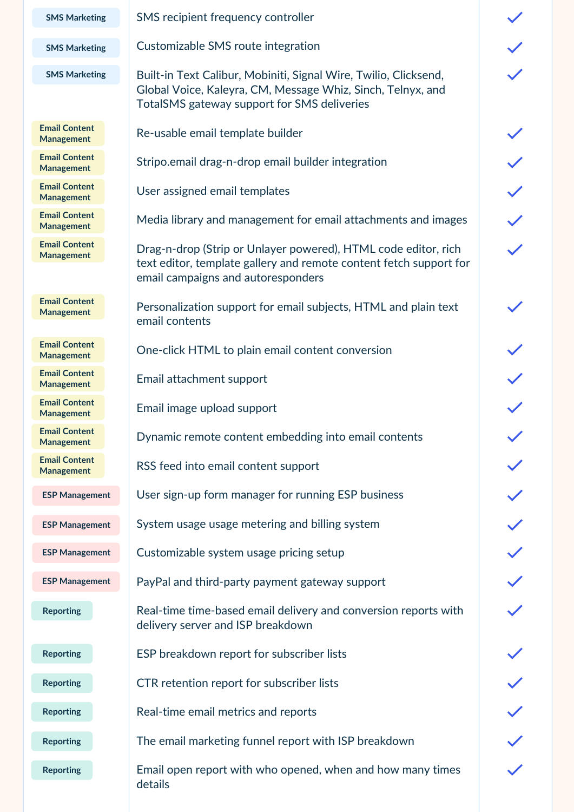**SMS Marketing**

**SMS Marketing**

**SMS Marketing**

**Email Content Management**

**Email Content Management**

**Email Content Management**

**Email Content Management**

**Email Content Management**

**Email Content Management**

**Email Content Management**

**Email Content Management**

**Email Content Management**

**Email Content Management**

**Email Content Management**

**ESP [Management](https://www.notion.so/724b1a7db1774e2688b61216c79fec1e)**

**ESP [Management](https://www.notion.so/724b1a7db1774e2688b61216c79fec1e)**

**ESP [Management](https://www.notion.so/724b1a7db1774e2688b61216c79fec1e)**

**ESP [Management](https://www.notion.so/724b1a7db1774e2688b61216c79fec1e)**

**Reporting**

**Reporting**

**Reporting**

**Reporting**

**Reporting**

**Reporting**

SMS recipient frequency controller

Customizable SMS route integration

Built-in Text Calibur, Mobiniti, Signal Wire, Twilio, Clicksend, Global Voice, Kaleyra, CM, Message Whiz, Sinch, Telnyx, and TotalSMS gateway support for SMS deliveries

Re-usable email template builder

Stripo.email drag-n-drop email builder integration

User assigned email templates

Media library and management for email attachments and images

Drag-n-drop (Strip or Unlayer powered), HTML code editor, rich text editor, template gallery and remote content fetch support for email campaigns and autoresponders

Personalization support for email subjects, HTML and plain text email contents

One-click HTML to plain email content conversion

Email attachment support

Email image upload support

Dynamic remote content embedding into email contents

RSS feed into email content support

User sign-up form manager for running ESP business

System usage usage metering and billing system

Customizable system usage pricing setup

PayPal and third-party payment gateway support

Real-time time-based email delivery and conversion reports with delivery server and ISP breakdown

ESP breakdown report for subscriber lists

CTR retention report for subscriber lists

Real-time email metrics and reports

The email marketing funnel report with ISP breakdown

Email open report with who opened, when and how many times details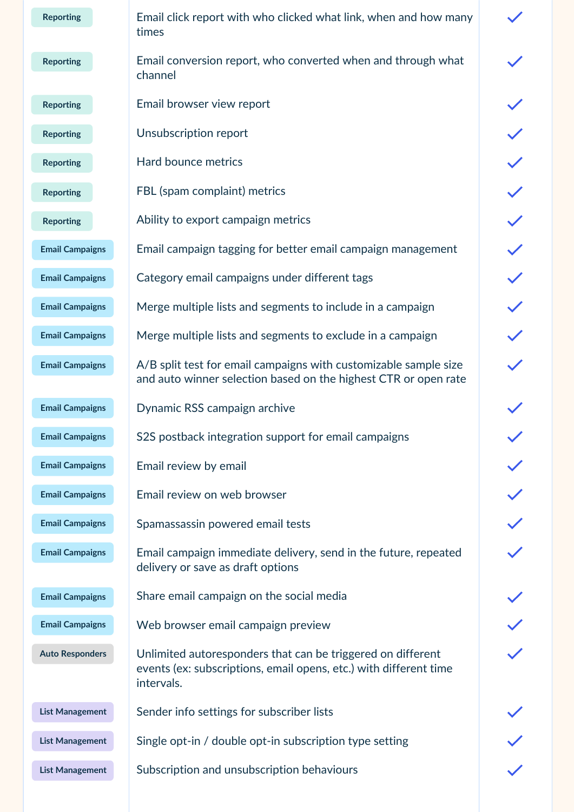| <b>Reporting</b>       | Email click report with who clicked what link, when and how many<br>times                                                                      |  |
|------------------------|------------------------------------------------------------------------------------------------------------------------------------------------|--|
| <b>Reporting</b>       | Email conversion report, who converted when and through what<br>channel                                                                        |  |
| <b>Reporting</b>       | Email browser view report                                                                                                                      |  |
| <b>Reporting</b>       | Unsubscription report                                                                                                                          |  |
| <b>Reporting</b>       | Hard bounce metrics                                                                                                                            |  |
| <b>Reporting</b>       | FBL (spam complaint) metrics                                                                                                                   |  |
| <b>Reporting</b>       | Ability to export campaign metrics                                                                                                             |  |
| <b>Email Campaigns</b> | Email campaign tagging for better email campaign management                                                                                    |  |
| <b>Email Campaigns</b> | Category email campaigns under different tags                                                                                                  |  |
| <b>Email Campaigns</b> | Merge multiple lists and segments to include in a campaign                                                                                     |  |
| <b>Email Campaigns</b> | Merge multiple lists and segments to exclude in a campaign                                                                                     |  |
| <b>Email Campaigns</b> | A/B split test for email campaigns with customizable sample size<br>and auto winner selection based on the highest CTR or open rate            |  |
| <b>Email Campaigns</b> | Dynamic RSS campaign archive                                                                                                                   |  |
| <b>Email Campaigns</b> | S2S postback integration support for email campaigns                                                                                           |  |
| <b>Email Campaigns</b> | Email review by email                                                                                                                          |  |
| <b>Email Campaigns</b> | Email review on web browser                                                                                                                    |  |
| <b>Email Campaigns</b> | Spamassassin powered email tests                                                                                                               |  |
| <b>Email Campaigns</b> | Email campaign immediate delivery, send in the future, repeated<br>delivery or save as draft options                                           |  |
| <b>Email Campaigns</b> | Share email campaign on the social media                                                                                                       |  |
| <b>Email Campaigns</b> | Web browser email campaign preview                                                                                                             |  |
| <b>Auto Responders</b> | Unlimited autoresponders that can be triggered on different<br>events (ex: subscriptions, email opens, etc.) with different time<br>intervals. |  |
| <b>List Management</b> | Sender info settings for subscriber lists                                                                                                      |  |
| <b>List Management</b> | Single opt-in / double opt-in subscription type setting                                                                                        |  |
| <b>List Management</b> | Subscription and unsubscription behaviours                                                                                                     |  |